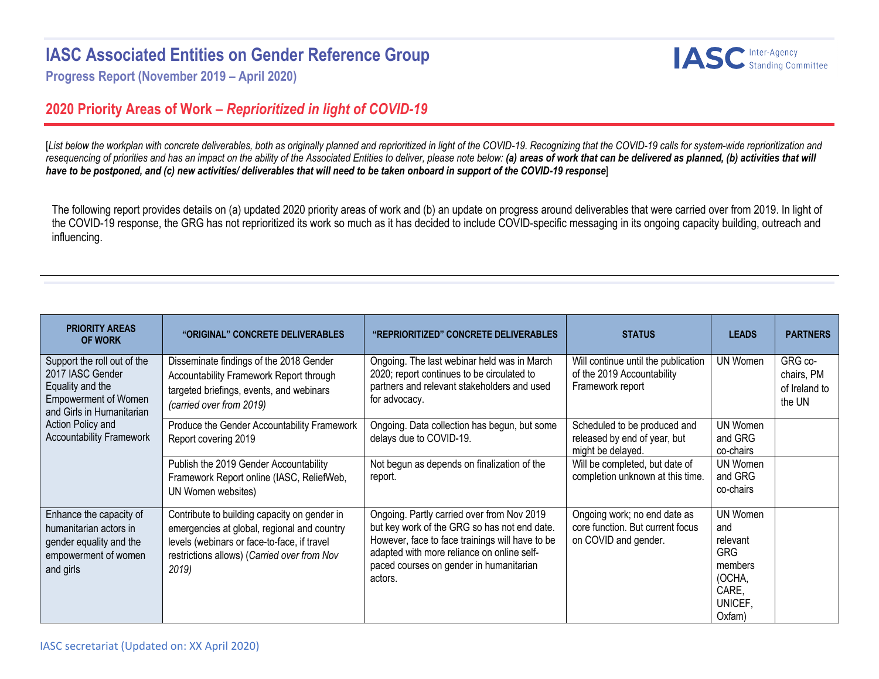## **IASC Associated Entities on Gender Reference Group**



**Progress Report (November 2019 – April 2020)**

## **2020 Priority Areas of Work –** *Reprioritized in light of COVID-19*

[List below the workplan with concrete deliverables, both as originally planned and reprioritized in light of the COVID-19. Recognizing that the COVID-19 calls for system-wide reprioritization and resequencing of priorities and has an impact on the ability of the Associated Entities to deliver, please note below: (a) areas of work that can be delivered as planned, (b) activities that will *have to be postponed, and (c) new activities/ deliverables that will need to be taken onboard in support of the COVID-19 response*]

The following report provides details on (a) updated 2020 priority areas of work and (b) an update on progress around deliverables that were carried over from 2019. In light of the COVID-19 response, the GRG has not reprioritized its work so much as it has decided to include COVID-specific messaging in its ongoing capacity building, outreach and influencing.

| <b>PRIORITY AREAS</b><br><b>OF WORK</b>                                                                                                                                                 | "ORIGINAL" CONCRETE DELIVERABLES                                                                                                                                                                  | "REPRIORITIZED" CONCRETE DELIVERABLES                                                                                                                                                                                                             | <b>STATUS</b>                                                                            | <b>LEADS</b>                                                                                 | <b>PARTNERS</b>                                  |
|-----------------------------------------------------------------------------------------------------------------------------------------------------------------------------------------|---------------------------------------------------------------------------------------------------------------------------------------------------------------------------------------------------|---------------------------------------------------------------------------------------------------------------------------------------------------------------------------------------------------------------------------------------------------|------------------------------------------------------------------------------------------|----------------------------------------------------------------------------------------------|--------------------------------------------------|
| Support the roll out of the<br>2017 IASC Gender<br>Equality and the<br><b>Empowerment of Women</b><br>and Girls in Humanitarian<br>Action Policy and<br><b>Accountability Framework</b> | Disseminate findings of the 2018 Gender<br>Accountability Framework Report through<br>targeted briefings, events, and webinars<br>(carried over from 2019)                                        | Ongoing. The last webinar held was in March<br>2020; report continues to be circulated to<br>partners and relevant stakeholders and used<br>for advocacy.                                                                                         | Will continue until the publication<br>of the 2019 Accountability<br>Framework report    | UN Women                                                                                     | GRG co-<br>chairs, PM<br>of Ireland to<br>the UN |
|                                                                                                                                                                                         | Produce the Gender Accountability Framework<br>Report covering 2019                                                                                                                               | Ongoing. Data collection has begun, but some<br>delays due to COVID-19.                                                                                                                                                                           | Scheduled to be produced and<br>released by end of year, but<br>might be delayed.        | UN Women<br>and GRG<br>co-chairs                                                             |                                                  |
|                                                                                                                                                                                         | Publish the 2019 Gender Accountability<br>Framework Report online (IASC, ReliefWeb,<br>UN Women websites)                                                                                         | Not begun as depends on finalization of the<br>report.                                                                                                                                                                                            | Will be completed, but date of<br>completion unknown at this time.                       | UN Women<br>and GRG<br>co-chairs                                                             |                                                  |
| Enhance the capacity of<br>humanitarian actors in<br>gender equality and the<br>empowerment of women<br>and girls                                                                       | Contribute to building capacity on gender in<br>emergencies at global, regional and country<br>levels (webinars or face-to-face, if travel<br>restrictions allows) (Carried over from Nov<br>2019 | Ongoing. Partly carried over from Nov 2019<br>but key work of the GRG so has not end date.<br>However, face to face trainings will have to be<br>adapted with more reliance on online self-<br>paced courses on gender in humanitarian<br>actors. | Ongoing work; no end date as<br>core function. But current focus<br>on COVID and gender. | UN Women<br>and<br>relevant<br><b>GRG</b><br>members<br>(OCHA,<br>CARE,<br>UNICEF,<br>Oxfam) |                                                  |